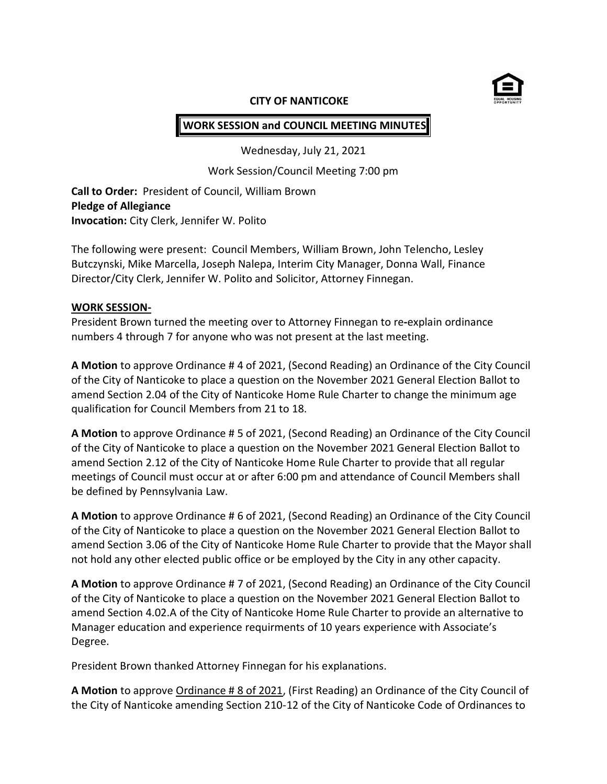

## **CITY OF NANTICOKE**

# **WORK SESSION and COUNCIL MEETING MINUTES**

Wednesday, July 21, 2021

Work Session/Council Meeting 7:00 pm

**Call to Order:** President of Council, William Brown **Pledge of Allegiance Invocation:** City Clerk, Jennifer W. Polito

The following were present: Council Members, William Brown, John Telencho, Lesley Butczynski, Mike Marcella, Joseph Nalepa, Interim City Manager, Donna Wall, Finance Director/City Clerk, Jennifer W. Polito and Solicitor, Attorney Finnegan.

# **WORK SESSION-**

President Brown turned the meeting over to Attorney Finnegan to re**-**explain ordinance numbers 4 through 7 for anyone who was not present at the last meeting.

**A Motion** to approve Ordinance # 4 of 2021, (Second Reading) an Ordinance of the City Council of the City of Nanticoke to place a question on the November 2021 General Election Ballot to amend Section 2.04 of the City of Nanticoke Home Rule Charter to change the minimum age qualification for Council Members from 21 to 18.

**A Motion** to approve Ordinance # 5 of 2021, (Second Reading) an Ordinance of the City Council of the City of Nanticoke to place a question on the November 2021 General Election Ballot to amend Section 2.12 of the City of Nanticoke Home Rule Charter to provide that all regular meetings of Council must occur at or after 6:00 pm and attendance of Council Members shall be defined by Pennsylvania Law.

**A Motion** to approve Ordinance # 6 of 2021, (Second Reading) an Ordinance of the City Council of the City of Nanticoke to place a question on the November 2021 General Election Ballot to amend Section 3.06 of the City of Nanticoke Home Rule Charter to provide that the Mayor shall not hold any other elected public office or be employed by the City in any other capacity.

**A Motion** to approve Ordinance # 7 of 2021, (Second Reading) an Ordinance of the City Council of the City of Nanticoke to place a question on the November 2021 General Election Ballot to amend Section 4.02.A of the City of Nanticoke Home Rule Charter to provide an alternative to Manager education and experience requirments of 10 years experience with Associate's Degree.

President Brown thanked Attorney Finnegan for his explanations.

**A Motion** to approve Ordinance # 8 of 2021, (First Reading) an Ordinance of the City Council of the City of Nanticoke amending Section 210-12 of the City of Nanticoke Code of Ordinances to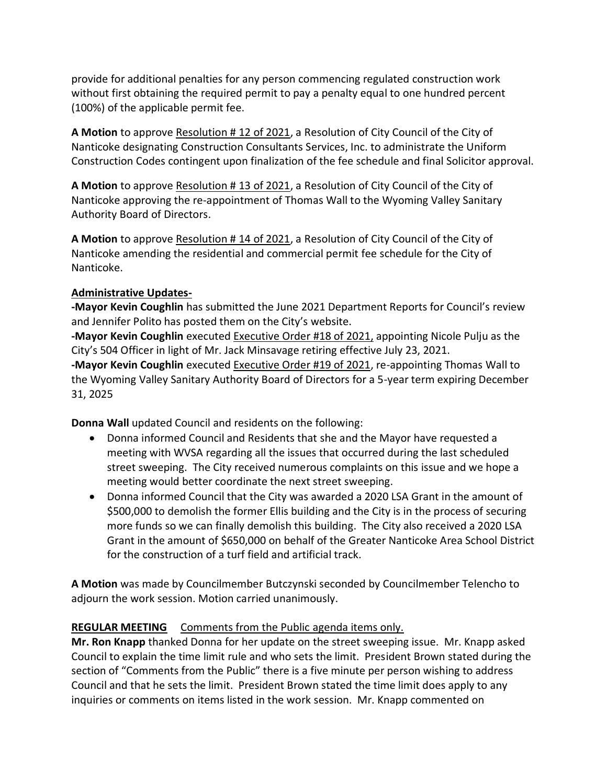provide for additional penalties for any person commencing regulated construction work without first obtaining the required permit to pay a penalty equal to one hundred percent (100%) of the applicable permit fee.

**A Motion** to approve Resolution # 12 of 2021, a Resolution of City Council of the City of Nanticoke designating Construction Consultants Services, Inc. to administrate the Uniform Construction Codes contingent upon finalization of the fee schedule and final Solicitor approval.

**A Motion** to approve Resolution # 13 of 2021, a Resolution of City Council of the City of Nanticoke approving the re-appointment of Thomas Wall to the Wyoming Valley Sanitary Authority Board of Directors.

**A Motion** to approve Resolution # 14 of 2021, a Resolution of City Council of the City of Nanticoke amending the residential and commercial permit fee schedule for the City of Nanticoke.

# **Administrative Updates-**

**-Mayor Kevin Coughlin** has submitted the June 2021 Department Reports for Council's review and Jennifer Polito has posted them on the City's website.

**-Mayor Kevin Coughlin** executed Executive Order #18 of 2021, appointing Nicole Pulju as the City's 504 Officer in light of Mr. Jack Minsavage retiring effective July 23, 2021.

**-Mayor Kevin Coughlin** executed Executive Order #19 of 2021, re-appointing Thomas Wall to the Wyoming Valley Sanitary Authority Board of Directors for a 5-year term expiring December 31, 2025

**Donna Wall** updated Council and residents on the following:

- Donna informed Council and Residents that she and the Mayor have requested a meeting with WVSA regarding all the issues that occurred during the last scheduled street sweeping. The City received numerous complaints on this issue and we hope a meeting would better coordinate the next street sweeping.
- Donna informed Council that the City was awarded a 2020 LSA Grant in the amount of \$500,000 to demolish the former Ellis building and the City is in the process of securing more funds so we can finally demolish this building. The City also received a 2020 LSA Grant in the amount of \$650,000 on behalf of the Greater Nanticoke Area School District for the construction of a turf field and artificial track.

**A Motion** was made by Councilmember Butczynski seconded by Councilmember Telencho to adjourn the work session. Motion carried unanimously.

# **REGULAR MEETING** Comments from the Public agenda items only.

**Mr. Ron Knapp** thanked Donna for her update on the street sweeping issue. Mr. Knapp asked Council to explain the time limit rule and who sets the limit. President Brown stated during the section of "Comments from the Public" there is a five minute per person wishing to address Council and that he sets the limit. President Brown stated the time limit does apply to any inquiries or comments on items listed in the work session. Mr. Knapp commented on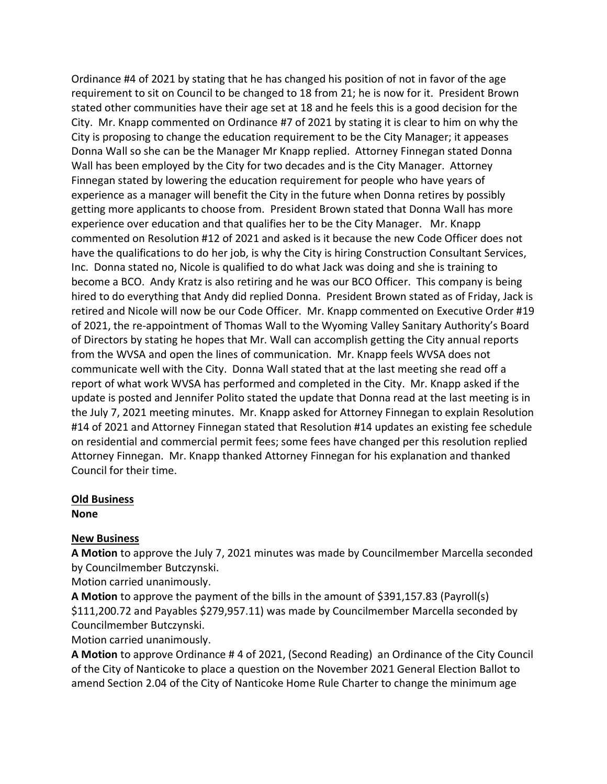Ordinance #4 of 2021 by stating that he has changed his position of not in favor of the age requirement to sit on Council to be changed to 18 from 21; he is now for it. President Brown stated other communities have their age set at 18 and he feels this is a good decision for the City. Mr. Knapp commented on Ordinance #7 of 2021 by stating it is clear to him on why the City is proposing to change the education requirement to be the City Manager; it appeases Donna Wall so she can be the Manager Mr Knapp replied. Attorney Finnegan stated Donna Wall has been employed by the City for two decades and is the City Manager. Attorney Finnegan stated by lowering the education requirement for people who have years of experience as a manager will benefit the City in the future when Donna retires by possibly getting more applicants to choose from. President Brown stated that Donna Wall has more experience over education and that qualifies her to be the City Manager. Mr. Knapp commented on Resolution #12 of 2021 and asked is it because the new Code Officer does not have the qualifications to do her job, is why the City is hiring Construction Consultant Services, Inc. Donna stated no, Nicole is qualified to do what Jack was doing and she is training to become a BCO. Andy Kratz is also retiring and he was our BCO Officer. This company is being hired to do everything that Andy did replied Donna. President Brown stated as of Friday, Jack is retired and Nicole will now be our Code Officer. Mr. Knapp commented on Executive Order #19 of 2021, the re-appointment of Thomas Wall to the Wyoming Valley Sanitary Authority's Board of Directors by stating he hopes that Mr. Wall can accomplish getting the City annual reports from the WVSA and open the lines of communication. Mr. Knapp feels WVSA does not communicate well with the City. Donna Wall stated that at the last meeting she read off a report of what work WVSA has performed and completed in the City. Mr. Knapp asked if the update is posted and Jennifer Polito stated the update that Donna read at the last meeting is in the July 7, 2021 meeting minutes. Mr. Knapp asked for Attorney Finnegan to explain Resolution #14 of 2021 and Attorney Finnegan stated that Resolution #14 updates an existing fee schedule on residential and commercial permit fees; some fees have changed per this resolution replied Attorney Finnegan. Mr. Knapp thanked Attorney Finnegan for his explanation and thanked Council for their time.

# **Old Business**

**None**

# **New Business**

**A Motion** to approve the July 7, 2021 minutes was made by Councilmember Marcella seconded by Councilmember Butczynski.

Motion carried unanimously.

**A Motion** to approve the payment of the bills in the amount of \$391,157.83 (Payroll(s) \$111,200.72 and Payables \$279,957.11) was made by Councilmember Marcella seconded by Councilmember Butczynski.

Motion carried unanimously.

**A Motion** to approve Ordinance # 4 of 2021, (Second Reading) an Ordinance of the City Council of the City of Nanticoke to place a question on the November 2021 General Election Ballot to amend Section 2.04 of the City of Nanticoke Home Rule Charter to change the minimum age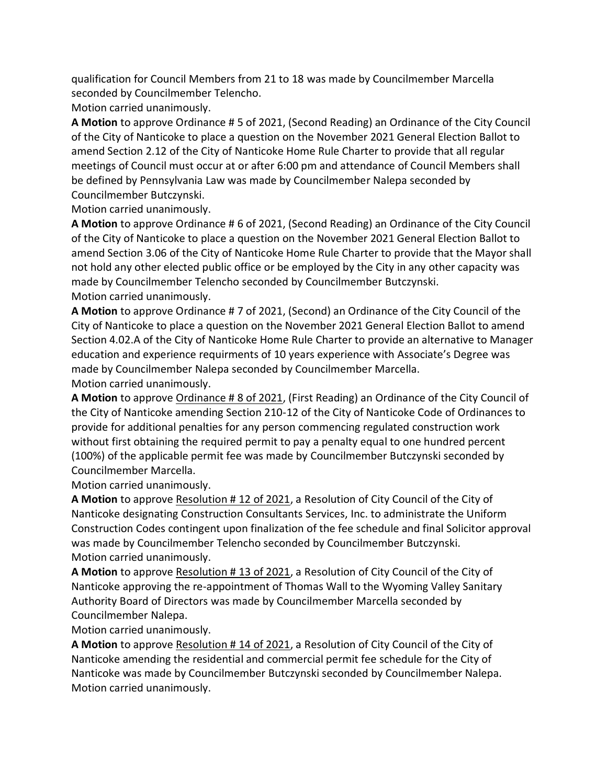qualification for Council Members from 21 to 18 was made by Councilmember Marcella seconded by Councilmember Telencho.

Motion carried unanimously.

**A Motion** to approve Ordinance # 5 of 2021, (Second Reading) an Ordinance of the City Council of the City of Nanticoke to place a question on the November 2021 General Election Ballot to amend Section 2.12 of the City of Nanticoke Home Rule Charter to provide that all regular meetings of Council must occur at or after 6:00 pm and attendance of Council Members shall be defined by Pennsylvania Law was made by Councilmember Nalepa seconded by Councilmember Butczynski.

Motion carried unanimously.

**A Motion** to approve Ordinance # 6 of 2021, (Second Reading) an Ordinance of the City Council of the City of Nanticoke to place a question on the November 2021 General Election Ballot to amend Section 3.06 of the City of Nanticoke Home Rule Charter to provide that the Mayor shall not hold any other elected public office or be employed by the City in any other capacity was made by Councilmember Telencho seconded by Councilmember Butczynski. Motion carried unanimously.

**A Motion** to approve Ordinance # 7 of 2021, (Second) an Ordinance of the City Council of the City of Nanticoke to place a question on the November 2021 General Election Ballot to amend Section 4.02.A of the City of Nanticoke Home Rule Charter to provide an alternative to Manager education and experience requirments of 10 years experience with Associate's Degree was made by Councilmember Nalepa seconded by Councilmember Marcella. Motion carried unanimously.

**A Motion** to approve Ordinance # 8 of 2021, (First Reading) an Ordinance of the City Council of the City of Nanticoke amending Section 210-12 of the City of Nanticoke Code of Ordinances to provide for additional penalties for any person commencing regulated construction work without first obtaining the required permit to pay a penalty equal to one hundred percent (100%) of the applicable permit fee was made by Councilmember Butczynski seconded by Councilmember Marcella.

Motion carried unanimously.

**A Motion** to approve Resolution # 12 of 2021, a Resolution of City Council of the City of Nanticoke designating Construction Consultants Services, Inc. to administrate the Uniform Construction Codes contingent upon finalization of the fee schedule and final Solicitor approval was made by Councilmember Telencho seconded by Councilmember Butczynski. Motion carried unanimously.

**A Motion** to approve Resolution # 13 of 2021, a Resolution of City Council of the City of Nanticoke approving the re-appointment of Thomas Wall to the Wyoming Valley Sanitary Authority Board of Directors was made by Councilmember Marcella seconded by Councilmember Nalepa.

Motion carried unanimously.

**A Motion** to approve Resolution # 14 of 2021, a Resolution of City Council of the City of Nanticoke amending the residential and commercial permit fee schedule for the City of Nanticoke was made by Councilmember Butczynski seconded by Councilmember Nalepa. Motion carried unanimously.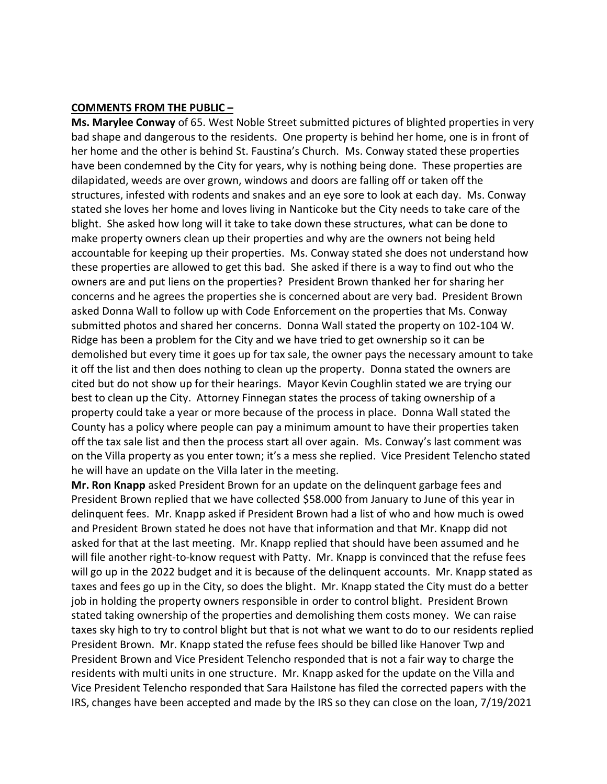### **COMMENTS FROM THE PUBLIC –**

**Ms. Marylee Conway** of 65. West Noble Street submitted pictures of blighted properties in very bad shape and dangerous to the residents. One property is behind her home, one is in front of her home and the other is behind St. Faustina's Church. Ms. Conway stated these properties have been condemned by the City for years, why is nothing being done. These properties are dilapidated, weeds are over grown, windows and doors are falling off or taken off the structures, infested with rodents and snakes and an eye sore to look at each day. Ms. Conway stated she loves her home and loves living in Nanticoke but the City needs to take care of the blight. She asked how long will it take to take down these structures, what can be done to make property owners clean up their properties and why are the owners not being held accountable for keeping up their properties. Ms. Conway stated she does not understand how these properties are allowed to get this bad. She asked if there is a way to find out who the owners are and put liens on the properties? President Brown thanked her for sharing her concerns and he agrees the properties she is concerned about are very bad. President Brown asked Donna Wall to follow up with Code Enforcement on the properties that Ms. Conway submitted photos and shared her concerns. Donna Wall stated the property on 102-104 W. Ridge has been a problem for the City and we have tried to get ownership so it can be demolished but every time it goes up for tax sale, the owner pays the necessary amount to take it off the list and then does nothing to clean up the property. Donna stated the owners are cited but do not show up for their hearings. Mayor Kevin Coughlin stated we are trying our best to clean up the City. Attorney Finnegan states the process of taking ownership of a property could take a year or more because of the process in place. Donna Wall stated the County has a policy where people can pay a minimum amount to have their properties taken off the tax sale list and then the process start all over again. Ms. Conway's last comment was on the Villa property as you enter town; it's a mess she replied. Vice President Telencho stated he will have an update on the Villa later in the meeting.

**Mr. Ron Knapp** asked President Brown for an update on the delinquent garbage fees and President Brown replied that we have collected \$58.000 from January to June of this year in delinquent fees. Mr. Knapp asked if President Brown had a list of who and how much is owed and President Brown stated he does not have that information and that Mr. Knapp did not asked for that at the last meeting. Mr. Knapp replied that should have been assumed and he will file another right-to-know request with Patty. Mr. Knapp is convinced that the refuse fees will go up in the 2022 budget and it is because of the delinquent accounts. Mr. Knapp stated as taxes and fees go up in the City, so does the blight. Mr. Knapp stated the City must do a better job in holding the property owners responsible in order to control blight. President Brown stated taking ownership of the properties and demolishing them costs money. We can raise taxes sky high to try to control blight but that is not what we want to do to our residents replied President Brown. Mr. Knapp stated the refuse fees should be billed like Hanover Twp and President Brown and Vice President Telencho responded that is not a fair way to charge the residents with multi units in one structure. Mr. Knapp asked for the update on the Villa and Vice President Telencho responded that Sara Hailstone has filed the corrected papers with the IRS, changes have been accepted and made by the IRS so they can close on the loan, 7/19/2021